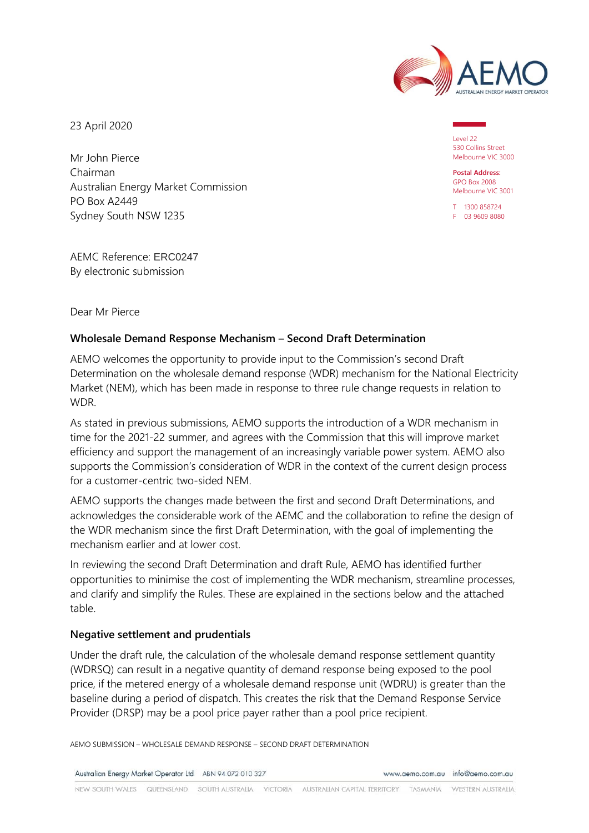

23 April 2020

Mr John Pierce Chairman Australian Energy Market Commission PO Box A2449 Sydney South NSW 1235

AEMC Reference: ERC0247 By electronic submission

Level 22 530 Collins Street Melbourne VIC 3000

**Postal Address:** GPO Box 2008 Melbourne VIC 3001

T 1300 858724 F 03 9609 8080

Dear Mr Pierce

#### **Wholesale Demand Response Mechanism – Second Draft Determination**

AEMO welcomes the opportunity to provide input to the Commission's second Draft Determination on the wholesale demand response (WDR) mechanism for the National Electricity Market (NEM), which has been made in response to three rule change requests in relation to WDR.

As stated in previous submissions, AEMO supports the introduction of a WDR mechanism in time for the 2021-22 summer, and agrees with the Commission that this will improve market efficiency and support the management of an increasingly variable power system. AEMO also supports the Commission's consideration of WDR in the context of the current design process for a customer-centric two-sided NEM.

AEMO supports the changes made between the first and second Draft Determinations, and acknowledges the considerable work of the AEMC and the collaboration to refine the design of the WDR mechanism since the first Draft Determination, with the goal of implementing the mechanism earlier and at lower cost.

In reviewing the second Draft Determination and draft Rule, AEMO has identified further opportunities to minimise the cost of implementing the WDR mechanism, streamline processes, and clarify and simplify the Rules. These are explained in the sections below and the attached table.

#### **Negative settlement and prudentials**

Under the draft rule, the calculation of the wholesale demand response settlement quantity (WDRSQ) can result in a negative quantity of demand response being exposed to the pool price, if the metered energy of a wholesale demand response unit (WDRU) is greater than the baseline during a period of dispatch. This creates the risk that the Demand Response Service Provider (DRSP) may be a pool price payer rather than a pool price recipient.

AEMO SUBMISSION – WHOLESALE DEMAND RESPONSE – SECOND DRAFT DETERMINATION

Australian Energy Market Operator Ltd ABN 94 072 010 327

www.gemo.com.gu info@gemo.com.gu

NEW SOUTH WALES QUEENSLAND SOUTH AUSTRALIA VICTORIA AUSTRALIAN CAPITAL TERRITORY TASMANIA WESTERN AUSTRALIA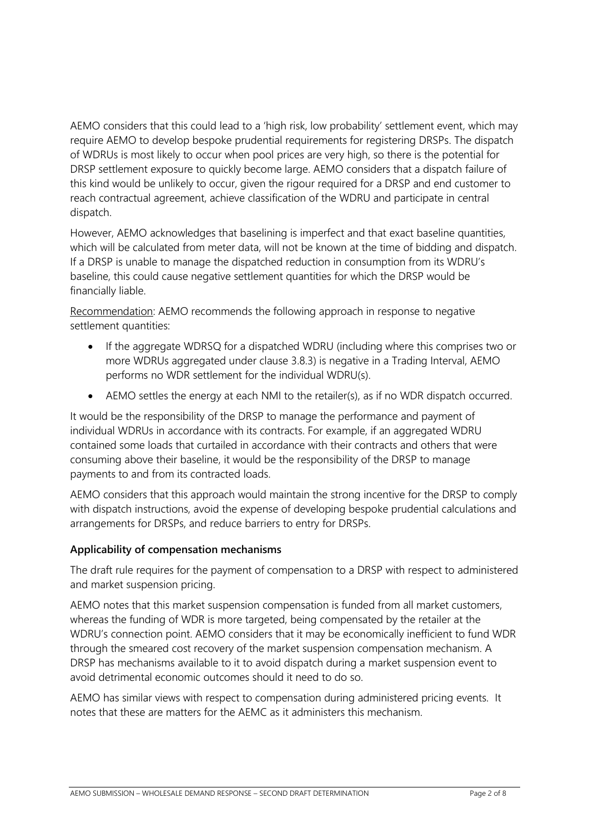AEMO considers that this could lead to a 'high risk, low probability' settlement event, which may require AEMO to develop bespoke prudential requirements for registering DRSPs. The dispatch of WDRUs is most likely to occur when pool prices are very high, so there is the potential for DRSP settlement exposure to quickly become large. AEMO considers that a dispatch failure of this kind would be unlikely to occur, given the rigour required for a DRSP and end customer to reach contractual agreement, achieve classification of the WDRU and participate in central dispatch.

However, AEMO acknowledges that baselining is imperfect and that exact baseline quantities, which will be calculated from meter data, will not be known at the time of bidding and dispatch. If a DRSP is unable to manage the dispatched reduction in consumption from its WDRU's baseline, this could cause negative settlement quantities for which the DRSP would be financially liable.

Recommendation: AEMO recommends the following approach in response to negative settlement quantities:

- If the aggregate WDRSQ for a dispatched WDRU (including where this comprises two or more WDRUs aggregated under clause 3.8.3) is negative in a Trading Interval, AEMO performs no WDR settlement for the individual WDRU(s).
- AEMO settles the energy at each NMI to the retailer(s), as if no WDR dispatch occurred.

It would be the responsibility of the DRSP to manage the performance and payment of individual WDRUs in accordance with its contracts. For example, if an aggregated WDRU contained some loads that curtailed in accordance with their contracts and others that were consuming above their baseline, it would be the responsibility of the DRSP to manage payments to and from its contracted loads.

AEMO considers that this approach would maintain the strong incentive for the DRSP to comply with dispatch instructions, avoid the expense of developing bespoke prudential calculations and arrangements for DRSPs, and reduce barriers to entry for DRSPs.

# **Applicability of compensation mechanisms**

The draft rule requires for the payment of compensation to a DRSP with respect to administered and market suspension pricing.

AEMO notes that this market suspension compensation is funded from all market customers, whereas the funding of WDR is more targeted, being compensated by the retailer at the WDRU's connection point. AEMO considers that it may be economically inefficient to fund WDR through the smeared cost recovery of the market suspension compensation mechanism. A DRSP has mechanisms available to it to avoid dispatch during a market suspension event to avoid detrimental economic outcomes should it need to do so.

AEMO has similar views with respect to compensation during administered pricing events. It notes that these are matters for the AEMC as it administers this mechanism.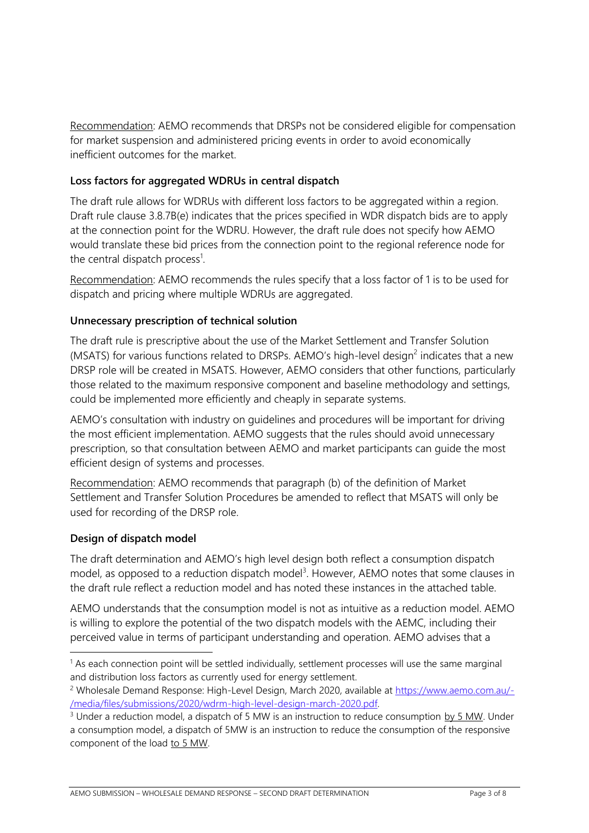Recommendation: AEMO recommends that DRSPs not be considered eligible for compensation for market suspension and administered pricing events in order to avoid economically inefficient outcomes for the market.

#### **Loss factors for aggregated WDRUs in central dispatch**

The draft rule allows for WDRUs with different loss factors to be aggregated within a region. Draft rule clause 3.8.7B(e) indicates that the prices specified in WDR dispatch bids are to apply at the connection point for the WDRU. However, the draft rule does not specify how AEMO would translate these bid prices from the connection point to the regional reference node for the central dispatch process<sup>1</sup>.

Recommendation: AEMO recommends the rules specify that a loss factor of 1 is to be used for dispatch and pricing where multiple WDRUs are aggregated.

# **Unnecessary prescription of technical solution**

The draft rule is prescriptive about the use of the Market Settlement and Transfer Solution (MSATS) for various functions related to DRSPs. AEMO's high-level design<sup>2</sup> indicates that a new DRSP role will be created in MSATS. However, AEMO considers that other functions, particularly those related to the maximum responsive component and baseline methodology and settings, could be implemented more efficiently and cheaply in separate systems.

AEMO's consultation with industry on guidelines and procedures will be important for driving the most efficient implementation. AEMO suggests that the rules should avoid unnecessary prescription, so that consultation between AEMO and market participants can guide the most efficient design of systems and processes.

Recommendation: AEMO recommends that paragraph (b) of the definition of Market Settlement and Transfer Solution Procedures be amended to reflect that MSATS will only be used for recording of the DRSP role.

#### **Design of dispatch model**

The draft determination and AEMO's high level design both reflect a consumption dispatch model, as opposed to a reduction dispatch model<sup>3</sup>. However, AEMO notes that some clauses in the draft rule reflect a reduction model and has noted these instances in the attached table.

AEMO understands that the consumption model is not as intuitive as a reduction model. AEMO is willing to explore the potential of the two dispatch models with the AEMC, including their perceived value in terms of participant understanding and operation. AEMO advises that a

 $<sup>1</sup>$  As each connection point will be settled individually, settlement processes will use the same marginal</sup> and distribution loss factors as currently used for energy settlement.

<sup>2</sup> Wholesale Demand Response: High-Level Design, March 2020, available at [https://www.aemo.com.au/-](https://www.aemo.com.au/-/media/files/submissions/2020/wdrm-high-level-design-march-2020.pdf) [/media/files/submissions/2020/wdrm-high-level-design-march-2020.pdf.](https://www.aemo.com.au/-/media/files/submissions/2020/wdrm-high-level-design-march-2020.pdf) 

<sup>&</sup>lt;sup>3</sup> Under a reduction model, a dispatch of 5 MW is an instruction to reduce consumption by 5 MW. Under a consumption model, a dispatch of 5MW is an instruction to reduce the consumption of the responsive component of the load to 5 MW.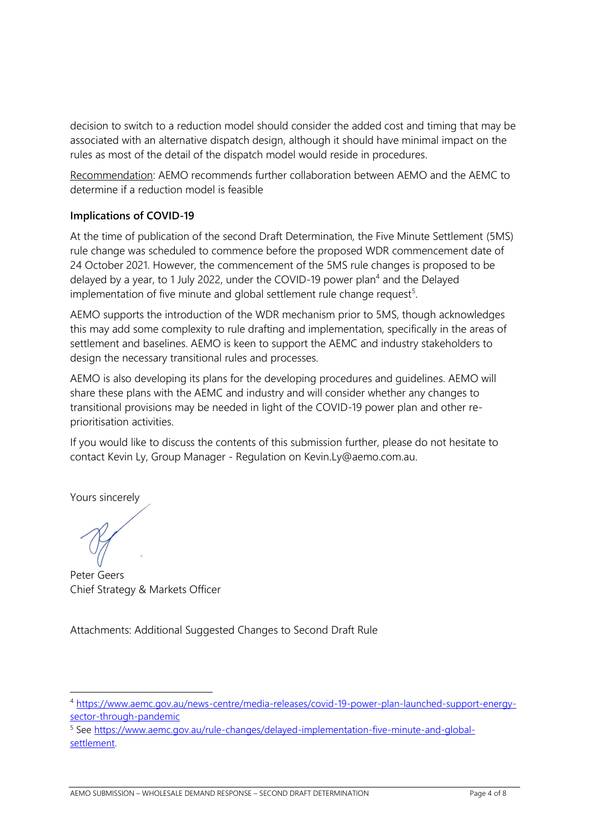decision to switch to a reduction model should consider the added cost and timing that may be associated with an alternative dispatch design, although it should have minimal impact on the rules as most of the detail of the dispatch model would reside in procedures.

Recommendation: AEMO recommends further collaboration between AEMO and the AEMC to determine if a reduction model is feasible

# **Implications of COVID-19**

At the time of publication of the second Draft Determination, the Five Minute Settlement (5MS) rule change was scheduled to commence before the proposed WDR commencement date of 24 October 2021. However, the commencement of the 5MS rule changes is proposed to be delayed by a year, to 1 July 2022, under the COVID-19 power plan<sup>4</sup> and the Delayed implementation of five minute and global settlement rule change request<sup>5</sup>.

AEMO supports the introduction of the WDR mechanism prior to 5MS, though acknowledges this may add some complexity to rule drafting and implementation, specifically in the areas of settlement and baselines. AEMO is keen to support the AEMC and industry stakeholders to design the necessary transitional rules and processes.

AEMO is also developing its plans for the developing procedures and guidelines. AEMO will share these plans with the AEMC and industry and will consider whether any changes to transitional provisions may be needed in light of the COVID-19 power plan and other reprioritisation activities.

If you would like to discuss the contents of this submission further, please do not hesitate to contact Kevin Ly, Group Manager - Regulation on Kevin.Ly@aemo.com.au.

Yours sincerely

Peter Geers Chief Strategy & Markets Officer

Attachments: Additional Suggested Changes to Second Draft Rule

<sup>4</sup> [https://www.aemc.gov.au/news-centre/media-releases/covid-19-power-plan-launched-support-energy](https://www.aemc.gov.au/news-centre/media-releases/covid-19-power-plan-launched-support-energy-sector-through-pandemic?utm_medium=email&utm_campaign=New+AEMC+Update+-+9+April+2020&utm_content=aemc.gov.au%2Fnews-centre%2Fmedia-releases%2Fcovid-19-power-plan-launched-support-energy-sector-through-pandemic&utm_source=www.vision6.com.au)[sector-through-pandemic](https://www.aemc.gov.au/news-centre/media-releases/covid-19-power-plan-launched-support-energy-sector-through-pandemic?utm_medium=email&utm_campaign=New+AEMC+Update+-+9+April+2020&utm_content=aemc.gov.au%2Fnews-centre%2Fmedia-releases%2Fcovid-19-power-plan-launched-support-energy-sector-through-pandemic&utm_source=www.vision6.com.au)

<sup>5</sup> See [https://www.aemc.gov.au/rule-changes/delayed-implementation-five-minute-and-global](https://www.aemc.gov.au/rule-changes/delayed-implementation-five-minute-and-global-settlement)[settlement.](https://www.aemc.gov.au/rule-changes/delayed-implementation-five-minute-and-global-settlement)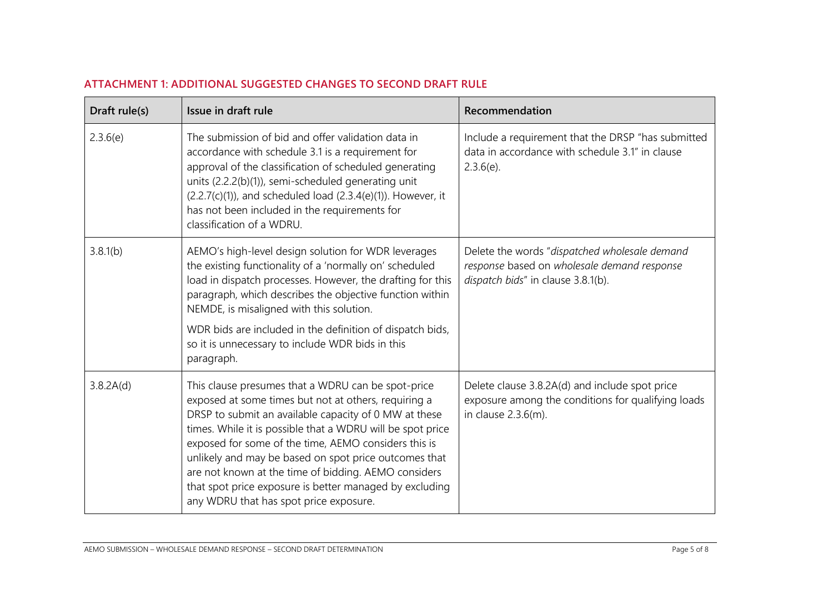| ATTACHMENT 1: ADDITIONAL SUGGESTED CHANGES TO SECOND DRAFT RULE |  |  |  |  |  |  |
|-----------------------------------------------------------------|--|--|--|--|--|--|
|-----------------------------------------------------------------|--|--|--|--|--|--|

| Draft rule(s) | Issue in draft rule                                                                                                                                                                                                                                                                                                                                                                                                                                                                                             | Recommendation                                                                                                                     |
|---------------|-----------------------------------------------------------------------------------------------------------------------------------------------------------------------------------------------------------------------------------------------------------------------------------------------------------------------------------------------------------------------------------------------------------------------------------------------------------------------------------------------------------------|------------------------------------------------------------------------------------------------------------------------------------|
| 2.3.6(e)      | The submission of bid and offer validation data in<br>accordance with schedule 3.1 is a requirement for<br>approval of the classification of scheduled generating<br>units (2.2.2(b)(1)), semi-scheduled generating unit<br>$(2.2.7(c)(1))$ , and scheduled load $(2.3.4(e)(1))$ . However, it<br>has not been included in the requirements for<br>classification of a WDRU.                                                                                                                                    | Include a requirement that the DRSP "has submitted<br>data in accordance with schedule 3.1" in clause<br>$2.3.6(e)$ .              |
| 3.8.1(b)      | AEMO's high-level design solution for WDR leverages<br>the existing functionality of a 'normally on' scheduled<br>load in dispatch processes. However, the drafting for this<br>paragraph, which describes the objective function within<br>NEMDE, is misaligned with this solution.<br>WDR bids are included in the definition of dispatch bids,<br>so it is unnecessary to include WDR bids in this<br>paragraph.                                                                                             | Delete the words "dispatched wholesale demand<br>response based on wholesale demand response<br>dispatch bids" in clause 3.8.1(b). |
| 3.8.2A(d)     | This clause presumes that a WDRU can be spot-price<br>exposed at some times but not at others, requiring a<br>DRSP to submit an available capacity of 0 MW at these<br>times. While it is possible that a WDRU will be spot price<br>exposed for some of the time, AEMO considers this is<br>unlikely and may be based on spot price outcomes that<br>are not known at the time of bidding. AEMO considers<br>that spot price exposure is better managed by excluding<br>any WDRU that has spot price exposure. | Delete clause 3.8.2A(d) and include spot price<br>exposure among the conditions for qualifying loads<br>in clause 2.3.6(m).        |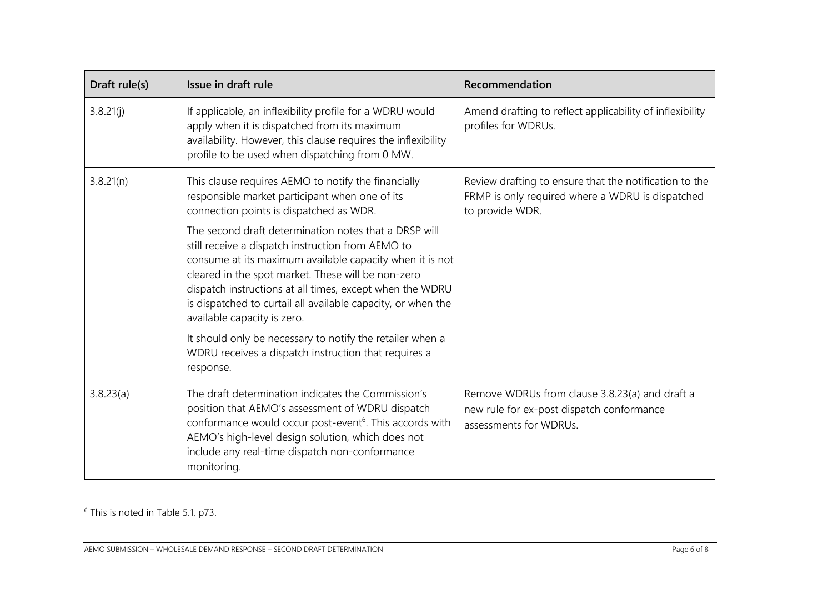| Draft rule(s) | Issue in draft rule                                                                                                                                                                                                                                                                                                                                                                     | Recommendation                                                                                                                |
|---------------|-----------------------------------------------------------------------------------------------------------------------------------------------------------------------------------------------------------------------------------------------------------------------------------------------------------------------------------------------------------------------------------------|-------------------------------------------------------------------------------------------------------------------------------|
| 3.8.21(j)     | If applicable, an inflexibility profile for a WDRU would<br>apply when it is dispatched from its maximum<br>availability. However, this clause requires the inflexibility<br>profile to be used when dispatching from 0 MW.                                                                                                                                                             | Amend drafting to reflect applicability of inflexibility<br>profiles for WDRUs.                                               |
| 3.8.21(n)     | This clause requires AEMO to notify the financially<br>responsible market participant when one of its<br>connection points is dispatched as WDR.                                                                                                                                                                                                                                        | Review drafting to ensure that the notification to the<br>FRMP is only required where a WDRU is dispatched<br>to provide WDR. |
|               | The second draft determination notes that a DRSP will<br>still receive a dispatch instruction from AEMO to<br>consume at its maximum available capacity when it is not<br>cleared in the spot market. These will be non-zero<br>dispatch instructions at all times, except when the WDRU<br>is dispatched to curtail all available capacity, or when the<br>available capacity is zero. |                                                                                                                               |
|               | It should only be necessary to notify the retailer when a<br>WDRU receives a dispatch instruction that requires a<br>response.                                                                                                                                                                                                                                                          |                                                                                                                               |
| 3.8.23(a)     | The draft determination indicates the Commission's<br>position that AEMO's assessment of WDRU dispatch<br>conformance would occur post-event <sup>6</sup> . This accords with<br>AEMO's high-level design solution, which does not<br>include any real-time dispatch non-conformance<br>monitoring.                                                                                     | Remove WDRUs from clause 3.8.23(a) and draft a<br>new rule for ex-post dispatch conformance<br>assessments for WDRUs.         |

<sup>6</sup> This is noted in Table 5.1, p73.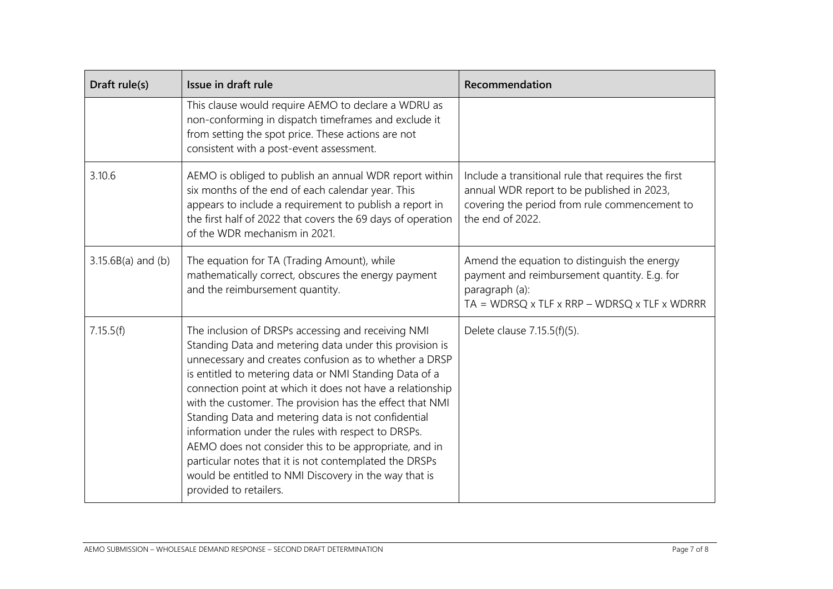| Draft rule(s)        | Issue in draft rule                                                                                                                                                                                                                                                                                                                                                                                                                                                                                                                                                                                                                                                           | Recommendation                                                                                                                                                                       |
|----------------------|-------------------------------------------------------------------------------------------------------------------------------------------------------------------------------------------------------------------------------------------------------------------------------------------------------------------------------------------------------------------------------------------------------------------------------------------------------------------------------------------------------------------------------------------------------------------------------------------------------------------------------------------------------------------------------|--------------------------------------------------------------------------------------------------------------------------------------------------------------------------------------|
|                      | This clause would require AEMO to declare a WDRU as<br>non-conforming in dispatch timeframes and exclude it<br>from setting the spot price. These actions are not<br>consistent with a post-event assessment.                                                                                                                                                                                                                                                                                                                                                                                                                                                                 |                                                                                                                                                                                      |
| 3.10.6               | AEMO is obliged to publish an annual WDR report within<br>six months of the end of each calendar year. This<br>appears to include a requirement to publish a report in<br>the first half of 2022 that covers the 69 days of operation<br>of the WDR mechanism in 2021.                                                                                                                                                                                                                                                                                                                                                                                                        | Include a transitional rule that requires the first<br>annual WDR report to be published in 2023,<br>covering the period from rule commencement to<br>the end of 2022.               |
| $3.15.6B(a)$ and (b) | The equation for TA (Trading Amount), while<br>mathematically correct, obscures the energy payment<br>and the reimbursement quantity.                                                                                                                                                                                                                                                                                                                                                                                                                                                                                                                                         | Amend the equation to distinguish the energy<br>payment and reimbursement quantity. E.g. for<br>paragraph (a):<br>$TA = WDRSQ \times TLF \times RRP - WDRSQ \times TLF \times WDRRR$ |
| 7.15.5(f)            | The inclusion of DRSPs accessing and receiving NMI<br>Standing Data and metering data under this provision is<br>unnecessary and creates confusion as to whether a DRSP<br>is entitled to metering data or NMI Standing Data of a<br>connection point at which it does not have a relationship<br>with the customer. The provision has the effect that NMI<br>Standing Data and metering data is not confidential<br>information under the rules with respect to DRSPs.<br>AEMO does not consider this to be appropriate, and in<br>particular notes that it is not contemplated the DRSPs<br>would be entitled to NMI Discovery in the way that is<br>provided to retailers. | Delete clause 7.15.5(f)(5).                                                                                                                                                          |